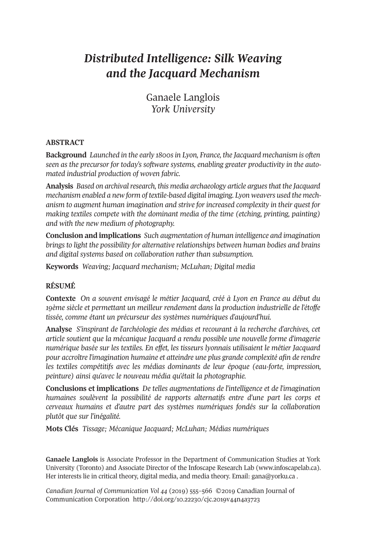# *Distributed Intelligence: Silk Weaving and the Jacquard Mechanism*

Ganaele Langlois *York University*

#### **ABSTRACT**

**Background** *Launched in the early 1800sin Lyon, France, the Jacquard mechanism is often seen as the precursor for today's software systems, enabling greater productivity in the automated industrial production of woven fabric.*

**Analysis** *Based on archivalresearch, this media archaeology article arguesthat the Jacquard mechanism enabled a new form of textile-based digital imaging. Lyon weavers used the mechanism to augment human imagination and strive for increased complexity in their quest for making textiles compete with the dominant media of the time (etching, printing, painting) and with the new medium of photography.*

**Conclusion and implications** *Such augmentation of human intelligence and imagination brings to light the possibility for alternative relationships between human bodies and brains and digital systems based on collaboration rather than subsumption.*

**Keywords** *Weaving; Jacquard mechanism; McLuhan; Digital media*

# **RÉSUMÉ**

**Contexte** *On a souvent envisagé le métier Jacquard, créé à Lyon en France au début du 19ème siècle et permettant un meilleur rendement dans la production industrielle de l'étoffe tissée, comme étant un précurseur des systèmes numériques d'aujourd'hui.*

**Analyse** *S'inspirant de l'archéologie des médias et recourant à la recherche d'archives, cet article soutient que la mécanique Jacquard a rendu possible une nouvelle forme d'imagerie numérique basée sur les textiles. En effet, les tisseurs lyonnais utilisaient le métier Jacquard pour accroître l'imagination humaine et atteindre une plus grande complexité afin de rendre les textiles compétitifs avec les médias dominants de leur époque (eau-forte, impression, peinture) ainsi qu'avec le nouveau média qu'était la photographie.*

**Conclusions et implications** *De telles augmentations de l'intelligence et de l'imagination humaines soulèvent la possibilité de rapports alternatifs entre d'une part les corps et cerveaux humains et d'autre part des systèmes numériques fondés sur la collaboration plutôt que sur l'inégalité.*

**Mots Clés** *Tissage; Mécanique Jacquard; McLuhan; Médias numériques*

**Ganaele Langlois** is Associate Professor in the Department of Communication Studies at York University (Toronto) and Associate Director of the Infoscape Research Lab [\(www.infoscapelab.ca\)](http://www.infoscapelab.ca). Her interests lie in critical theory, digital media, and media theory. Email: [gana@yorku.ca](mailto:gana@yorku.ca).

*Canadian Journal of [Communication](http://www.cjc-online.ca) Vol 44* (2019) 555–566 ©2019 Canadian Journal of Communication Corporation <http://doi.org/10.22230/cjc.2019v44n4a3723>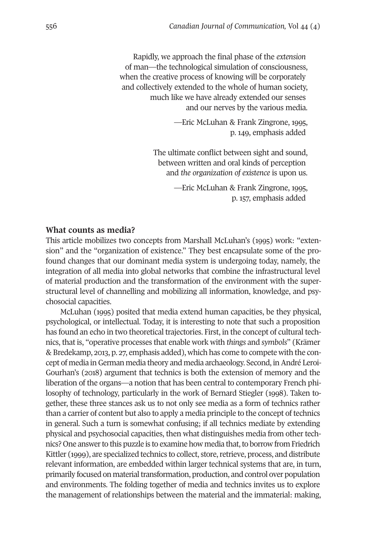Rapidly, we approach the final phase of the *extension* of man—the technological simulation of consciousness, when the creative process of knowing will be corporately and collectively extended to the whole of human society, much like we have already extended our senses and our nerves by the various media.

> —Eric McLuhan & Frank Zingrone, 1995, p. 149, emphasis added

The ultimate conflict between sight and sound, between written and oral kinds of perception and *the organization of existence* is upon us.

> —Eric McLuhan & Frank Zingrone, 1995, p. 157, emphasis added

#### **What counts as media?**

This article mobilizes two concepts from Marshall McLuhan's (1995) work: "extension" and the "organization of existence." They best encapsulate some of the profound changes that our dominant media system is undergoing today, namely, the integration of all media into global networks that combine the infrastructural level of material production and the transformation of the environment with the superstructural level of channelling and mobilizing all information, knowledge, and psychosocial capacities.

McLuhan (1995) posited that media extend human capacities, be they physical, psychological, or intellectual. Today, it is interesting to note that such a proposition has found an echo in two theoretical trajectories. First, in the concept of cultural technics, that is, "operative processes that enable work with *things* and *symbols*" (Krämer & Bredekamp, 2013, p. 27, emphasis added), which has come to compete with the concept of media in German media theory and media archaeology. Second, in André Leroi-Gourhan's (2018) argument that technics is both the extension of memory and the liberation of the organs—a notion that has been central to contemporary French philosophy of technology, particularly in the work of Bernard Stiegler (1998). Taken together, these three stances ask us to not only see media as a form of technics rather than a carrier of content but also to apply a media principle to the concept of technics in general. Such a turn is somewhat confusing; if all technics mediate by extending physical and psychosocial capacities, then what distinguishes media from other technics? One answer to this puzzle is to examine how media that, to borrow from Friedrich Kittler (1999), are specialized technics to collect, store, retrieve, process, and distribute relevant information, are embedded within larger technical systems that are, in turn, primarily focused on material transformation, production, and control over population and environments. The folding together of media and technics invites us to explore the management of relationships between the material and the immaterial: making,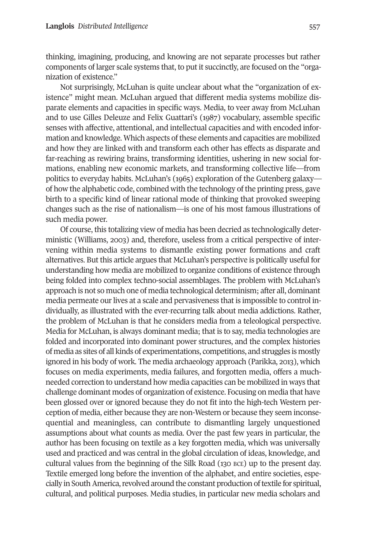thinking, imagining, producing, and knowing are not separate processes but rather components of larger scale systems that, to put it succinctly, are focused on the "organization of existence."

Not surprisingly, McLuhan is quite unclear about what the "organization of existence" might mean. McLuhan argued that different media systems mobilize disparate elements and capacities in specific ways. Media, to veer away from McLuhan and to use Gilles Deleuze and Felix Guattari's (1987) vocabulary, assemble specific senses with affective, attentional, and intellectual capacities and with encoded information and knowledge. Which aspects of these elements and capacities are mobilized and how they are linked with and transform each other has effects as disparate and far-reaching as rewiring brains, transforming identities, ushering in new social formations, enabling new economic markets, and transforming collective life—from politics to everyday habits. McLuhan's (1965) exploration of the Gutenberg galaxy of how the alphabetic code, combined with the technology of the printing press, gave birth to a specific kind of linear rational mode of thinking that provoked sweeping changes such as the rise of nationalism—is one of his most famous illustrations of such media power.

Of course, this totalizing view of media has been decried as technologically deterministic (Williams, 2003) and, therefore, useless from a critical perspective of intervening within media systems to dismantle existing power formations and craft alternatives. But this article argues that McLuhan's perspective is politically useful for understanding how media are mobilized to organize conditions of existence through being folded into complex techno-social assemblages. The problem with McLuhan's approach is not so much one of media technological determinism; after all, dominant media permeate our lives at a scale and pervasiveness that is impossible to control individually, as illustrated with the ever-recurring talk about media addictions. Rather, the problem of McLuhan is that he considers media from a teleological perspective. Media for McLuhan, is always dominant media; that is to say, media technologies are folded and incorporated into dominant power structures, and the complex histories of media as sites of all kinds of experimentations, competitions, and struggles is mostly ignored in his body of work. The media archaeology approach (Parikka, 2013), which focuses on media experiments, media failures, and forgotten media, offers a muchneeded correction to understand how media capacities can be mobilized in ways that challenge dominant modes of organization of existence. Focusing on media that have been glossed over or ignored because they do not fit into the high-tech Western perception of media, either because they are non-Western or because they seem inconsequential and meaningless, can contribute to dismantling largely unquestioned assumptions about what counts as media. Over the past few years in particular, the author has been focusing on textile as a key forgotten media, which was universally used and practiced and was central in the global circulation of ideas, knowledge, and cultural values from the beginning of the Silk Road (130 BCE) up to the present day. Textile emerged long before the invention of the alphabet, and entire societies, especially in South America, revolved around the constant production of textile for spiritual, cultural, and political purposes. Media studies, in particular new media scholars and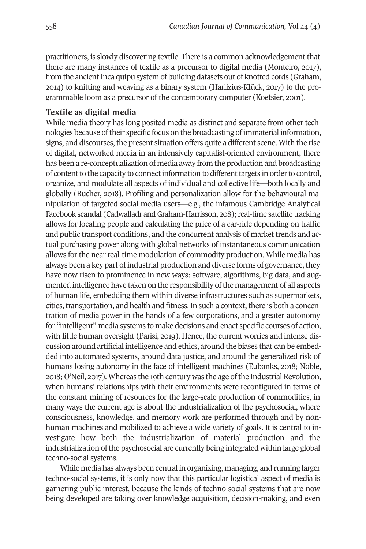practitioners, is slowly discovering textile. There is a common acknowledgement that there are many instances of textile as a precursor to digital media (Monteiro, 2017), from the ancient Inca quipu system of building datasets out of knotted cords (Graham, 2014) to knitting and weaving as a binary system (Harlizius-Klück, 2017) to the programmable loom as a precursor of the contemporary computer (Koetsier, 2001).

## **Textile as digital media**

While media theory has long posited media as distinct and separate from other technologies because oftheir specific focus on the broadcasting of immaterial information, signs, and discourses, the present situation offers quite a different scene. With the rise of digital, networked media in an intensively capitalist-oriented environment, there has been a re-conceptualization of media away from the production and broadcasting of content to the capacity to connect information to different targets in order to control, organize, and modulate all aspects of individual and collective life—both locally and globally (Bucher, 2018). Profiling and personalization allow for the behavioural manipulation of targeted social media users—e.g., the infamous Cambridge Analytical Facebook scandal (Cadwalladr and Graham-Harrisson, 208); real-time satellite tracking allows for locating people and calculating the price of a car-ride depending on traffic and public transport conditions; and the concurrent analysis of market trends and actual purchasing power along with global networks of instantaneous communication allows for the near real-time modulation of commodity production. While media has always been a key part of industrial production and diverse forms of governance, they have now risen to prominence in new ways: software, algorithms, big data, and augmented intelligence have taken on the responsibility of the management of all aspects of human life, embedding them within diverse infrastructures such as supermarkets, cities, transportation, and health and fitness. In such a context, there is both a concentration of media power in the hands of a few corporations, and a greater autonomy for "intelligent" media systems to make decisions and enact specific courses of action, with little human oversight (Parisi, 2019). Hence, the current worries and intense discussion around artificial intelligence and ethics, around the biases that can be embedded into automated systems, around data justice, and around the generalized risk of humans losing autonomy in the face of intelligent machines (Eubanks, 2018; Noble, 2018; O'Neil, 2017). Whereas the 19th century was the age ofthe Industrial Revolution, when humans' relationships with their environments were reconfigured in terms of the constant mining of resources for the large-scale production of commodities, in many ways the current age is about the industrialization of the psychosocial, where consciousness, knowledge, and memory work are performed through and by nonhuman machines and mobilized to achieve a wide variety of goals. It is central to investigate how both the industrialization of material production and the industrialization ofthe psychosocial are currently being integrated within large global techno-social systems.

While media has always been central in organizing, managing, and running larger techno-social systems, it is only now that this particular logistical aspect of media is garnering public interest, because the kinds of techno-social systems that are now being developed are taking over knowledge acquisition, decision-making, and even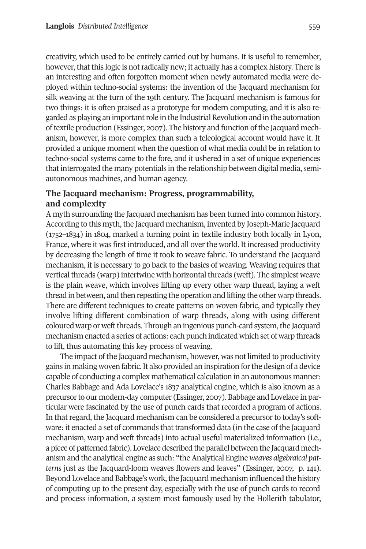creativity, which used to be entirely carried out by humans. It is useful to remember, however, that this logic is not radically new; it actually has a complex history. There is an interesting and often forgotten moment when newly automated media were deployed within techno-social systems: the invention of the Jacquard mechanism for silk weaving at the turn of the 19th century. The Jacquard mechanism is famous for two things: it is often praised as a prototype for modern computing, and it is also regarded as playing an important role in the Industrial Revolution and in the automation oftextile production (Essinger, 2007). The history and function ofthe Jacquard mechanism, however, is more complex than such a teleological account would have it. It provided a unique moment when the question of what media could be in relation to techno-social systems came to the fore, and it ushered in a set of unique experiences that interrogated the many potentials in the relationship between digital media, semiautonomous machines, and human agency.

# **The Jacquard mechanism: Progress, programmability, and complexity**

A myth surrounding the Jacquard mechanism has been turned into common history. According to this myth, the Jacquard mechanism, invented by Joseph-Marie Jacquard (1752–1834) in 1804, marked a turning point in textile industry both locally in Lyon, France, where it was first introduced, and all over the world. It increased productivity by decreasing the length of time it took to weave fabric. To understand the Jacquard mechanism, it is necessary to go back to the basics of weaving. Weaving requires that vertical threads (warp) intertwine with horizontal threads (weft). The simplest weave is the plain weave, which involves lifting up every other warp thread, laying a weft thread in between, and then repeating the operation and lifting the other warp threads. There are different techniques to create patterns on woven fabric, and typically they involve lifting different combination of warp threads, along with using different coloured warp or weft threads. Through an ingenious punch-card system, the Jacquard mechanism enacted a series of actions: each punch indicated which set of warp threads to lift, thus automating this key process of weaving.

The impact of the Jacquard mechanism, however, was not limited to productivity gains in making woven fabric.It also provided an inspiration forthe design of a device capable of conducting a complex mathematical calculation in an autonomous manner: Charles Babbage and Ada Lovelace's 1837 analytical engine, which is also known as a precursorto our modern-day computer (Essinger, 2007). Babbage and Lovelace in particular were fascinated by the use of punch cards that recorded a program of actions. In that regard, the Jacquard mechanism can be considered a precursor to today's software: it enacted a set of commands that transformed data (in the case of the Jacquard mechanism, warp and weft threads) into actual useful materialized information (i.e., a piece of patterned fabric). Lovelace described the parallel between the Jacquard mechanism and the analytical engine as such: "theAnalytical Engine *weaves algebraical patterns* just as the Jacquard-loom weaves flowers and leaves" (Essinger, 2007, p. 141). Beyond Lovelace and Babbage's work, the Jacquard mechanism influenced the history of computing up to the present day, especially with the use of punch cards to record and process information, a system most famously used by the Hollerith tabulator,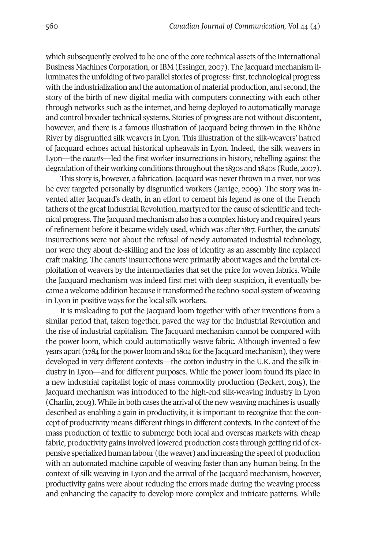which subsequently evolved to be one of the core technical assets of the International Business Machines Corporation, or IBM (Essinger, 2007). The Jacquard mechanism illuminates the unfolding of two parallel stories of progress: first, technological progress with the industrialization and the automation of material production, and second, the story of the birth of new digital media with computers connecting with each other through networks such as the internet, and being deployed to automatically manage and control broader technical systems. Stories of progress are not without discontent, however, and there is a famous illustration of Jacquard being thrown in the Rhône River by disgruntled silk weavers in Lyon. This illustration of the silk-weavers' hatred of Jacquard echoes actual historical upheavals in Lyon. Indeed, the silk weavers in Lyon—the *canuts*—led the first worker insurrections in history, rebelling against the degradation of their working conditions throughout the 1830s and 1840s (Rude, 2007).

This story is, however, a fabrication. Jacquard was never thrown in a river, nor was he ever targeted personally by disgruntled workers (Jarrige, 2009). The story was invented after Jacquard's death, in an effort to cement his legend as one of the French fathers of the great Industrial Revolution, martyred for the cause of scientific and technical progress. The Jacquard mechanism also has a complex history and required years of refinement before it became widely used, which was after 1817. Further, the canuts' insurrections were not about the refusal of newly automated industrial technology, nor were they about de-skilling and the loss of identity as an assembly line replaced craft making. The canuts' insurrections were primarily about wages and the brutal exploitation of weavers by the intermediaries that set the price for woven fabrics. While the Jacquard mechanism was indeed first met with deep suspicion, it eventually became a welcome addition because it transformed the techno-social system of weaving in Lyon in positive ways for the local silk workers.

It is misleading to put the Jacquard loom together with other inventions from a similar period that, taken together, paved the way for the Industrial Revolution and the rise of industrial capitalism. The Jacquard mechanism cannot be compared with the power loom, which could automatically weave fabric. Although invented a few years apart (1784 for the power loom and 1804 for the Jacquard mechanism), they were developed in very different contexts—the cotton industry in the U.K. and the silk industry in Lyon—and for different purposes. While the power loom found its place in a new industrial capitalist logic of mass commodity production (Beckert, 2015), the Jacquard mechanism was introduced to the high-end silk-weaving industry in Lyon (Charlin, 2003). While in both cases the arrival of the new weaving machines is usually described as enabling a gain in productivity, it is important to recognize that the concept of productivity means different things in different contexts. In the context of the mass production of textile to submerge both local and overseas markets with cheap fabric, productivity gains involved lowered production costs through getting rid of expensive specialized human labour (the weaver) and increasing the speed of production with an automated machine capable of weaving faster than any human being. In the context of silk weaving in Lyon and the arrival of the Jacquard mechanism, however, productivity gains were about reducing the errors made during the weaving process and enhancing the capacity to develop more complex and intricate patterns. While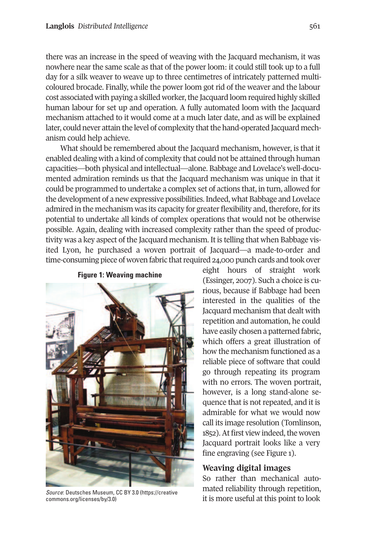there was an increase in the speed of weaving with the Jacquard mechanism, it was nowhere near the same scale as that of the power loom: it could still took up to a full day for a silk weaver to weave up to three centimetres of intricately patterned multicoloured brocade. Finally, while the power loom got rid of the weaver and the labour cost associated with paying a skilled worker, the Jacquard loom required highly skilled human labour for set up and operation. A fully automated loom with the Jacquard mechanism attached to it would come at a much later date, and as will be explained later, could never attain the level of complexity that the hand-operated Jacquard mechanism could help achieve.

What should be remembered about the Jacquard mechanism, however, is that it enabled dealing with a kind of complexity that could not be attained through human capacities—both physical and intellectual—alone. Babbage and Lovelace's well-documented admiration reminds us that the Jacquard mechanism was unique in that it could be programmed to undertake a complex set of actions that, in turn, allowed for the development of a new expressive possibilities.Indeed, what Babbage and Lovelace admired in the mechanism was its capacity for greater flexibility and, therefore, forits potential to undertake all kinds of complex operations that would not be otherwise possible. Again, dealing with increased complexity rather than the speed of productivity was a key aspect of the Jacquard mechanism. It is telling that when Babbage visited Lyon, he purchased a woven portrait of Jacquard—a made-to-order and time-consuming piece of woven fabric that required 24,000 punch cards and took over

## **Figure 1: Weaving machine**



*Source*: Deutsches Museum, CC BY 3.0 [\(https://creative](https://creativecommons.org/licenses/by/3.0) [commons.org/licenses/by/3.0\)](https://creativecommons.org/licenses/by/3.0)

eight hours of straight work (Essinger, 2007). Such a choice is curious, because if Babbage had been interested in the qualities of the Jacquard mechanism that dealt with repetition and automation, he could have easily chosen a patterned fabric, which offers a great illustration of how the mechanism functioned as a reliable piece of software that could go through repeating its program with no errors. The woven portrait, however, is a long stand-alone sequence that is not repeated, and it is admirable for what we would now call its image resolution (Tomlinson, 1852). At first view indeed, the woven Jacquard portrait looks like a very fine engraving (see Figure 1).

## **Weaving digital images**

So rather than mechanical automated reliability through repetition, it is more useful at this point to look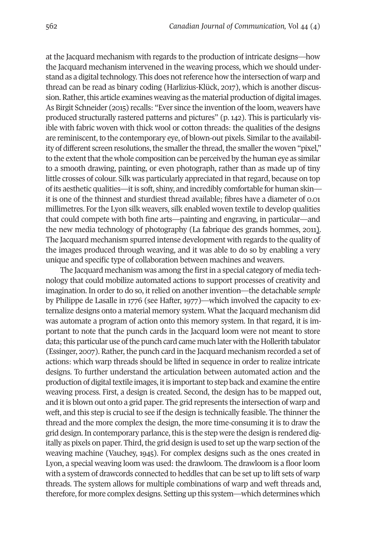at the Jacquard mechanism with regards to the production of intricate designs—how the Jacquard mechanism intervened in the weaving process, which we should understand as a digital technology. This does not reference how the intersection of warp and thread can be read as binary coding (Harlizius-Klück, 2017), which is another discussion. Rather, this article examines weaving as the material production of digital images. As Birgit Schneider (2015) recalls: "Ever since the invention of the loom, weavers have produced structurally rastered patterns and pictures" (p. 142). This is particularly visible with fabric woven with thick wool or cotton threads: the qualities of the designs are reminiscent, to the contemporary eye, of blown-out pixels. Similar to the availability of different screen resolutions, the smaller the thread, the smaller the woven "pixel," to the extent that the whole composition can be perceived by the human eye as similar to a smooth drawing, painting, or even photograph, rather than as made up of tiny little crosses of colour. Silk was particularly appreciated in that regard, because on top of its aesthetic qualities—itis soft, shiny, and incredibly comfortable for human skin it is one of the thinnest and sturdiest thread available; fibres have a diameter of 0.01 millimetres. For the Lyon silk weavers, silk enabled woven textile to develop qualities that could compete with both fine arts—painting and engraving, in particular—and the new media technology of photography (La fabrique des grands hommes, 2011). The Jacquard mechanism spurred intense development with regards to the quality of the images produced through weaving, and it was able to do so by enabling a very unique and specific type of collaboration between machines and weavers.

The Jacquard mechanism was among the first in a special category of media technology that could mobilize automated actions to support processes of creativity and imagination. In order to do so, it relied on another invention—the detachable *semple* by Philippe de Lasalle in 1776 (see Hafter, 1977)—which involved the capacity to externalize designs onto a material memory system. What the Jacquard mechanism did was automate a program of action onto this memory system. In that regard, it is important to note that the punch cards in the Jacquard loom were not meant to store data; this particular use of the punch card came much later with the Hollerith tabulator (Essinger, 2007). Rather, the punch card in the Jacquard mechanism recorded a set of actions: which warp threads should be lifted in sequence in order to realize intricate designs. To further understand the articulation between automated action and the production of digital textile images, it is important to step back and examine the entire weaving process. First, a design is created. Second, the design has to be mapped out, and it is blown out onto a grid paper. The grid represents the intersection of warp and weft, and this step is crucial to see if the design is technically feasible. The thinner the thread and the more complex the design, the more time-consuming it is to draw the grid design. In contemporary parlance, this is the step were the design is rendered digitally as pixels on paper. Third, the grid design is used to set up the warp section of the weaving machine (Vauchey, 1945). For complex designs such as the ones created in Lyon, a special weaving loom was used: the drawloom. The drawloom is a floor loom with a system of drawcords connected to heddles that can be set up to lift sets of warp threads. The system allows for multiple combinations of warp and weft threads and, therefore, for more complex designs. Setting up this system—which determines which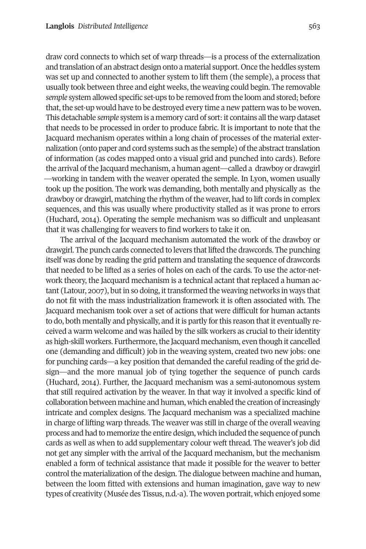draw cord connects to which set of warp threads—is a process of the externalization and translation of an abstract design onto a material support. Once the heddles system was set up and connected to another system to lift them (the semple), a process that usually took between three and eight weeks, the weaving could begin. The removable *semple* system allowed specific set-ups to be removed from the loom and stored; before that, the set-up would have to be destroyed every time a new pattern was to be woven. This detachable *semple* system is a memory card of sort:it contains allthe warp dataset that needs to be processed in order to produce fabric. It is important to note that the Jacquard mechanism operates within a long chain of processes of the material externalization (onto paper and cord systems such as the semple) of the abstract translation of information (as codes mapped onto a visual grid and punched into cards). Before the arrival of the Jacquard mechanism, a human agent—called a drawboy or drawgirl —working in tandem with the weaver operated the semple. In Lyon, women usually took up the position. The work was demanding, both mentally and physically as the drawboy or drawgirl, matching the rhythm of the weaver, had to lift cords in complex sequences, and this was usually where productivity stalled as it was prone to errors (Huchard, 2014). Operating the semple mechanism was so difficult and unpleasant that it was challenging for weavers to find workers to take it on.

The arrival of the Jacquard mechanism automated the work of the drawboy or drawgirl. The punch cards connected to levers thatlifted the drawcords. The punching itself was done by reading the grid pattern and translating the sequence of drawcords that needed to be lifted as a series of holes on each of the cards. To use the actor-network theory, the Jacquard mechanism is a technical actant that replaced a human actant (Latour, 2007), but in so doing, it transformed the weaving networks in ways that do not fit with the mass industrialization framework it is often associated with. The Jacquard mechanism took over a set of actions that were difficult for human actants to do, both mentally and physically, and it is partly for this reason that it eventually received a warm welcome and was hailed by the silk workers as crucial to their identity as high-skill workers. Furthermore, the Jacquard mechanism, even though it cancelled one (demanding and difficult) job in the weaving system, created two new jobs: one for punching cards—a key position that demanded the careful reading of the grid design—and the more manual job of tying together the sequence of punch cards (Huchard, 2014). Further, the Jacquard mechanism was a semi-autonomous system that still required activation by the weaver. In that way it involved a specific kind of collaboration between machine and human, which enabled the creation ofincreasingly intricate and complex designs. The Jacquard mechanism was a specialized machine in charge of lifting warp threads. The weaver was still in charge of the overall weaving process and had to memorize the entire design, which included the sequence of punch cards as well as when to add supplementary colour weft thread. The weaver's job did not get any simpler with the arrival of the Jacquard mechanism, but the mechanism enabled a form of technical assistance that made it possible for the weaver to better control the materialization of the design. The dialogue between machine and human, between the loom fitted with extensions and human imagination, gave way to new types of creativity (Musée des Tissus, n.d.-a). The woven portrait, which enjoyed some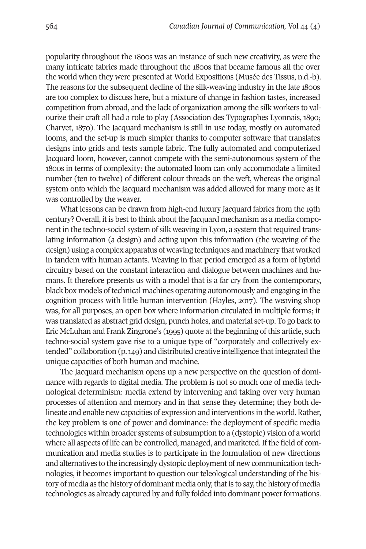popularity throughout the 1800s was an instance of such new creativity, as were the many intricate fabrics made throughout the 1800s that became famous all the over the world when they were presented at World Expositions (Musée des Tissus, n.d.-b). The reasons for the subsequent decline of the silk-weaving industry in the late 1800s are too complex to discuss here, but a mixture of change in fashion tastes, increased competition from abroad, and the lack of organization among the silk workers to valourize their craft all had a role to play (Association des Typographes Lyonnais, 1890; Charvet, 1870). The Jacquard mechanism is still in use today, mostly on automated looms, and the set-up is much simpler thanks to computer software that translates designs into grids and tests sample fabric. The fully automated and computerized Jacquard loom, however, cannot compete with the semi-autonomous system of the 1800s in terms of complexity: the automated loom can only accommodate a limited number (ten to twelve) of different colour threads on the weft, whereas the original system onto which the Jacquard mechanism was added allowed for many more as it was controlled by the weaver.

What lessons can be drawn from high-end luxury Jacquard fabrics from the 19th century? Overall, it is best to think about the Jacquard mechanism as a media component in the techno-social system of silk weaving in Lyon, a system thatrequired translating information (a design) and acting upon this information (the weaving of the design) using a complex apparatus of weaving techniques and machinery that worked in tandem with human actants. Weaving in that period emerged as a form of hybrid circuitry based on the constant interaction and dialogue between machines and humans. It therefore presents us with a model that is a far cry from the contemporary, black box models oftechnical machines operating autonomously and engaging in the cognition process with little human intervention (Hayles, 2017). The weaving shop was, for all purposes, an open box where information circulated in multiple forms; it was translated as abstract grid design, punch holes, and material set-up. To go back to Eric McLuhan and Frank Zingrone's (1995) quote at the beginning of this article, such techno-social system gave rise to a unique type of "corporately and collectively extended" collaboration (p. 149) and distributed creative intelligence that integrated the unique capacities of both human and machine.

The Jacquard mechanism opens up a new perspective on the question of dominance with regards to digital media. The problem is not so much one of media technological determinism: media extend by intervening and taking over very human processes of attention and memory and in that sense they determine; they both delineate and enable new capacities of expression and interventions in the world.Rather, the key problem is one of power and dominance: the deployment of specific media technologies within broader systems of subsumption to a (dystopic) vision of a world where all aspects of life can be controlled, managed, and marketed. If the field of communication and media studies is to participate in the formulation of new directions and alternatives to the increasingly dystopic deployment of new communication technologies, it becomes important to question our teleological understanding of the history of media as the history of dominant media only, that is to say, the history of media technologies as already captured by and fully folded into dominant power formations.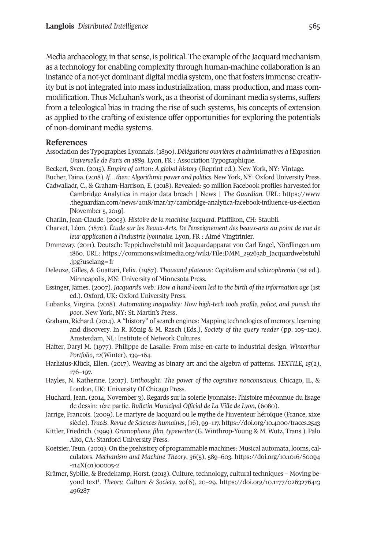Media archaeology, in that sense, is political. The example ofthe Jacquard mechanism as a technology for enabling complexity through human-machine collaboration is an instance of a not-yet dominant digital media system, one that fosters immense creativity but is not integrated into mass industrialization, mass production, and mass commodification. Thus McLuhan's work, as a theorist of dominant media systems, suffers from a teleological bias in tracing the rise of such systems, his concepts of extension as applied to the crafting of existence offer opportunities for exploring the potentials of non-dominant media systems.

#### **References**

- Association des Typographes Lyonnais. (1890). *Délégations ouvrières et administratives à l'Exposition Universelle de Paris en 1889.* Lyon, FR : Association Typographique.
- Beckert, Sven. (2015). *Empire of cotton: A global history* (Reprint ed.). New York, NY: Vintage.
- Bucher, Taina. (2018). *If…then: Algorithmic power and politics*. New York, NY: OxfordUniversity Press. Cadwalladr, C., & Graham-Harrison, E. (2018). Revealed: 50 million Facebook profiles harvested for
- Cambridge Analytica in major data breach | News | *The Guardian.* URL: [https://www](https://www.theguardian.com/news/2018/mar/17/cambridge-analytica-facebook-influence-us-election) [.theguardian.com/news/2018/mar/17/cambridge-analytica-facebook-influence-us-election](https://www.theguardian.com/news/2018/mar/17/cambridge-analytica-facebook-influence-us-election) [November 5, 2019].
- Charlin, Jean-Claude. (2003). *Histoire de la machine Jacquard*. Pfaffikon, CH: Staubli.
- Charvet, Léon. (1870). *Étude sur les Beaux-Arts. De l'enseignement des beaux-arts au point de vue de leur application à l'industrie lyonnaise.* Lyon, FR : Aimé Vingtrinier.
- Dmm2va7. (2011). Deutsch: Teppichwebstuhl mit Jacquardapparat von Carl Engel, Nördlingen um 1860. URL: [https://commons.wikimedia.org/wiki/File:DMM\\_29263ab\\_Jacquardwebstuhl](https://commons.wikimedia.org/wiki/File:DMM_29263ab_Jacquardwebstuhl.jpg?uselang=fr) [.jpg?uselang=fr](https://commons.wikimedia.org/wiki/File:DMM_29263ab_Jacquardwebstuhl.jpg?uselang=fr)
- Deleuze, Gilles, & Guattari, Felix. (1987). *Thousand plateaus: Capitalism and schizophrenia* (1st ed.). Minneapolis, MN: University of Minnesota Press.
- Essinger, James. (2007). *Jacquard's web: How a hand-loom led to the birth of the information age* (1st ed.). Oxford, UK: Oxford University Press.
- Eubanks, Virgina. (2018). *Automating inequality: How high-tech tools profile, police, and punish the poor*. New York, NY: St. Martin's Press.
- Graham, Richard. (2014). A "history" of search engines: Mapping technologies of memory, learning and discovery. In R. König & M. Rasch (Eds.), *Society of the query reader* (pp. 105–120). Amsterdam, NL: Institute of Network Cultures.
- Hafter, Daryl M. (1977). Philippe de Lasalle: From mise-en-carte to industrial design. *Winterthur Portfolio*, *12*(Winter), 139–164.
- Harlizius-Klück, Ellen. (2017). Weaving as binary art and the algebra of patterns. *TEXTILE*, *15*(2), 176–197.
- Hayles, N. Katherine. (2017). *Unthought: The power of the cognitive nonconscious*. Chicago, IL, & London, UK: University Of Chicago Press.
- Huchard, Jean. (2014, November 3). Regards sur la soierie lyonnaise: l'histoire méconnue du lisage de dessin: 1ère partie. *Bulletin Municipal Official de La Ville de Lyon*, (6080).
- Jarrige, Francois. (2009). Le martyre de Jacquard ou le mythe de l'inventeur héroïque (France, xixe siècle). *Tracés. Revue de Sciences humaines*, (16), 99–117. <https://doi.org/10.4000/traces.2543>
- Kittler, Friedrich. (1999). *Gramophone, film, typewriter* (G. Winthrop-Young & M. Wutz, Trans.). Palo Alto, CA: Stanford University Press.
- Koetsier, Teun. (2001). On the prehistory of programmable machines: Musical automata, looms, calculators. *Mechanism and Machine Theory*, *36*(5), 589–603. [https://doi.org/10.1016/S0094](https://doi.org/10.1016/S0094-114X(01)00005-2) [-114X\(01\)00005-2](https://doi.org/10.1016/S0094-114X(01)00005-2)
- Krämer, Sybille, & Bredekamp, Horst. (2013). Culture, technology, cultural techniques Moving beyond text1 . *Theory, Culture & Society*, *30*(6), 20–29. [https://doi.org/10.1177/0263276413](https://doi.org/10.1177/0263276413496287) [496287](https://doi.org/10.1177/0263276413496287)